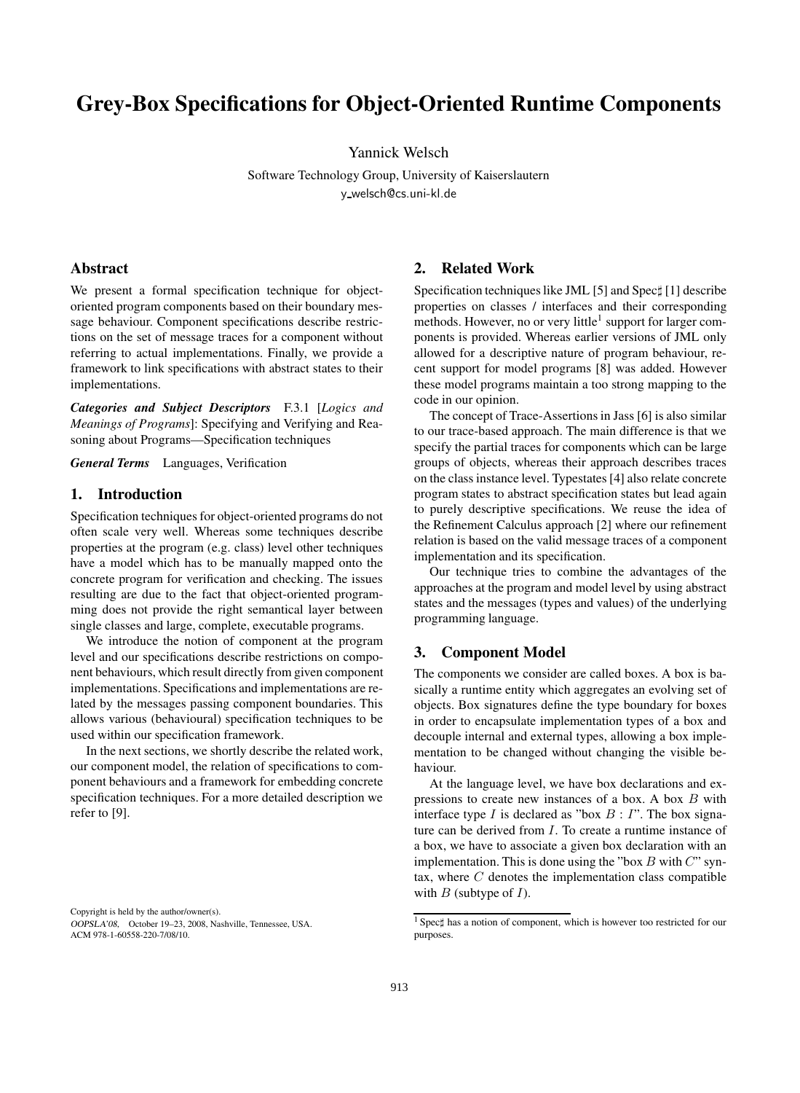# **Grey-Box Specifications for Object-Oriented Runtime Components**

Yannick Welsch

Software Technology Group, University of Kaiserslautern y welsch@cs.uni-kl.de

## **Abstract**

We present a formal specification technique for objectoriented program components based on their boundary message behaviour. Component specifications describe restrictions on the set of message traces for a component without referring to actual implementations. Finally, we provide a framework to link specifications with abstract states to their implementations.

*Categories and Subject Descriptors* F.3.1 [*Logics and Meanings of Programs*]: Specifying and Verifying and Reasoning about Programs—Specification techniques

*General Terms* Languages, Verification

### **1. Introduction**

Specification techniques for object-oriented programs do not often scale very well. Whereas some techniques describe properties at the program (e.g. class) level other techniques have a model which has to be manually mapped onto the concrete program for verification and checking. The issues resulting are due to the fact that object-oriented programming does not provide the right semantical layer between single classes and large, complete, executable programs.

We introduce the notion of component at the program level and our specifications describe restrictions on component behaviours, which result directly from given component implementations. Specifications and implementations are related by the messages passing component boundaries. This allows various (behavioural) specification techniques to be used within our specification framework.

In the next sections, we shortly describe the related work, our component model, the relation of specifications to component behaviours and a framework for embedding concrete specification techniques. For a more detailed description we refer to [9].

Copyright is held by the author/owner(s).

#### **2. Related Work**

Specification techniques like JML [5] and Spec‡ [1] describe properties on classes / interfaces and their corresponding methods. However, no or very little<sup>1</sup> support for larger components is provided. Whereas earlier versions of JML only allowed for a descriptive nature of program behaviour, recent support for model programs [8] was added. However these model programs maintain a too strong mapping to the code in our opinion.

The concept of Trace-Assertions in Jass [6] is also similar to our trace-based approach. The main difference is that we specify the partial traces for components which can be large groups of objects, whereas their approach describes traces on the class instance level. Typestates [4] also relate concrete program states to abstract specification states but lead again to purely descriptive specifications. We reuse the idea of the Refinement Calculus approach [2] where our refinement relation is based on the valid message traces of a component implementation and its specification.

Our technique tries to combine the advantages of the approaches at the program and model level by using abstract states and the messages (types and values) of the underlying programming language.

## **3. Component Model**

The components we consider are called boxes. A box is basically a runtime entity which aggregates an evolving set of objects. Box signatures define the type boundary for boxes in order to encapsulate implementation types of a box and decouple internal and external types, allowing a box implementation to be changed without changing the visible behaviour.

At the language level, we have box declarations and expressions to create new instances of a box. A box  $B$  with interface type I is declared as "box  $B: I$ ". The box signature can be derived from I. To create a runtime instance of a box, we have to associate a given box declaration with an implementation. This is done using the "box  $B$  with  $C$ " syntax, where  $C$  denotes the implementation class compatible with  $B$  (subtype of  $I$ ).

OOPSLA'08, October 19–23, 2008, Nashville, Tennessee, USA. ACM 978-1-60558-220-7/08/10.

<sup>&</sup>lt;sup>1</sup> Spec $\sharp$  has a notion of component, which is however too restricted for our purposes.